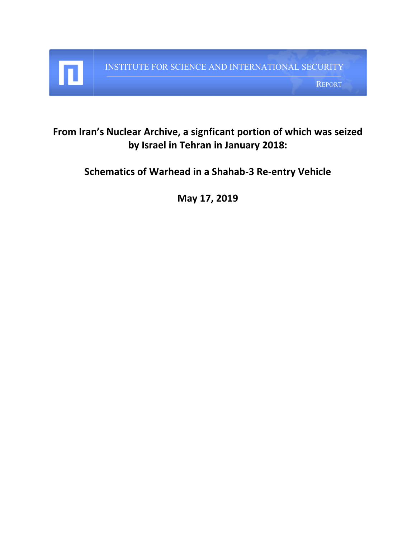INSTITUTE FOR SCIENCE AND INTERNATIONAL SECURITY REPORT

## **From Iran's Nuclear Archive, a signficant portion of which was seized by Israel in Tehran in January 2018:**

**Schematics of Warhead in a Shahab-3 Re-entry Vehicle**

**May 17, 2019**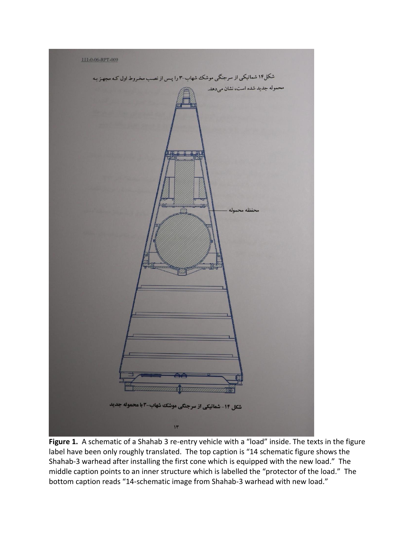

**Figure 1.** A schematic of a Shahab 3 re-entry vehicle with a "load" inside. The texts in the figure label have been only roughly translated. The top caption is "14 schematic figure shows the Shahab-3 warhead after installing the first cone which is equipped with the new load." The middle caption points to an inner structure which is labelled the "protector of the load." The bottom caption reads "14-schematic image from Shahab-3 warhead with new load."